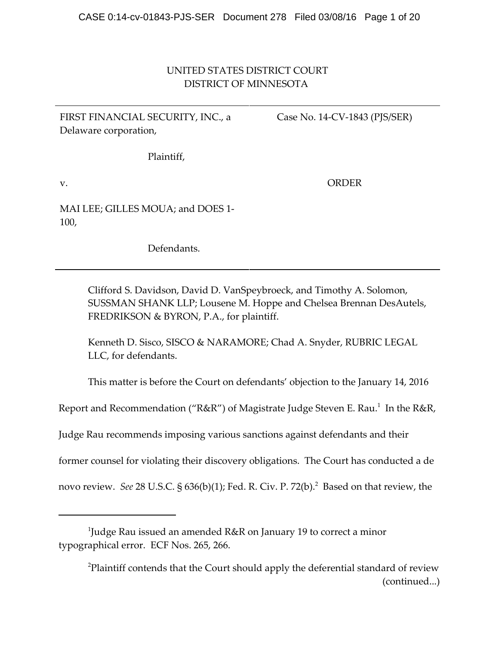# UNITED STATES DISTRICT COURT DISTRICT OF MINNESOTA

FIRST FINANCIAL SECURITY, INC., a Delaware corporation,

Case No. 14‐CV‐1843 (PJS/SER)

Plaintiff,

v.

ORDER

MAI LEE; GILLES MOUA; and DOES 1‐ 100,

Defendants.

Clifford S. Davidson, David D. VanSpeybroeck, and Timothy A. Solomon, SUSSMAN SHANK LLP; Lousene M. Hoppe and Chelsea Brennan DesAutels, FREDRIKSON & BYRON, P.A., for plaintiff.

Kenneth D. Sisco, SISCO & NARAMORE; Chad A. Snyder, RUBRIC LEGAL LLC, for defendants.

This matter is before the Court on defendants' objection to the January 14, 2016

Report and Recommendation ("R&R") of Magistrate Judge Steven E. Rau. $^{\rm 1}$  In the R&R,

Judge Rau recommends imposing various sanctions against defendants and their

former counsel for violating their discovery obligations. The Court has conducted a de

novo review. *See* 28 U.S.C. § 636(b)(1); Fed. R. Civ. P. 72(b).<sup>2</sup> Based on that review, the

 $^{\rm 1}$ Judge Rau issued an amended R&R on January 19 to correct a minor typographical error. ECF Nos. 265, 266.

 $^{2}$ Plaintiff contends that the Court should apply the deferential standard of review (continued...)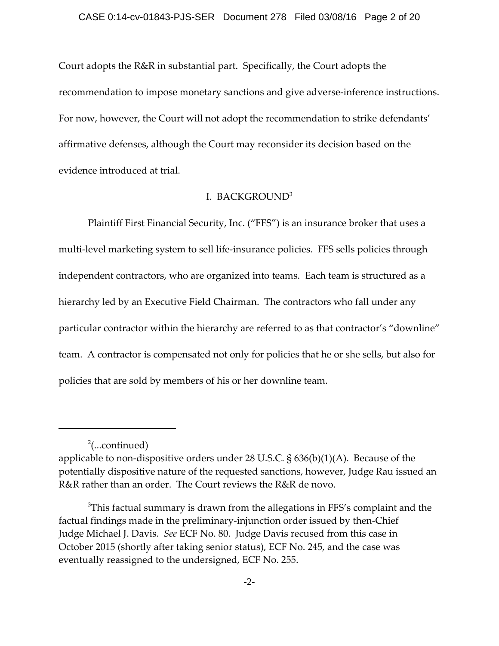Court adopts the R&R in substantial part. Specifically, the Court adopts the recommendation to impose monetary sanctions and give adverse-inference instructions. For now, however, the Court will not adopt the recommendation to strike defendants' affirmative defenses, although the Court may reconsider its decision based on the evidence introduced at trial.

## I. BACKGROUND<sup>3</sup>

Plaintiff First Financial Security, Inc. ("FFS") is an insurance broker that uses a multi-level marketing system to sell life-insurance policies. FFS sells policies through independent contractors, who are organized into teams. Each team is structured as a hierarchy led by an Executive Field Chairman. The contractors who fall under any particular contractor within the hierarchy are referred to as that contractor's "downline" team. A contractor is compensated not only for policies that he or she sells, but also for policies that are sold by members of his or her downline team.

<sup>&</sup>lt;sup>2</sup>(...continued)

applicable to non-dispositive orders under  $28$  U.S.C.  $\S$   $636(b)(1)(A)$ . Because of the potentially dispositive nature of the requested sanctions, however, Judge Rau issued an R&R rather than an order. The Court reviews the R&R de novo.

 $^3$ This factual summary is drawn from the allegations in FFS's complaint and the factual findings made in the preliminary‐injunction order issued by then‐Chief Judge Michael J. Davis. *See* ECF No. 80. Judge Davis recused from this case in October 2015 (shortly after taking senior status), ECF No. 245, and the case was eventually reassigned to the undersigned, ECF No. 255.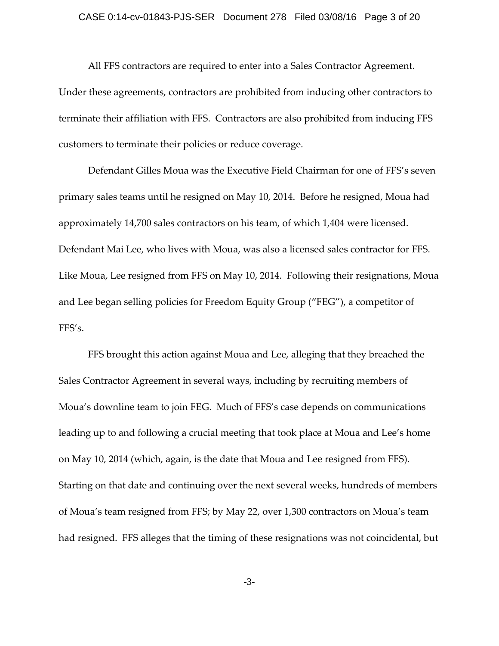## CASE 0:14-cv-01843-PJS-SER Document 278 Filed 03/08/16 Page 3 of 20

All FFS contractors are required to enter into a Sales Contractor Agreement.

Under these agreements, contractors are prohibited from inducing other contractors to terminate their affiliation with FFS. Contractors are also prohibited from inducing FFS customers to terminate their policies or reduce coverage.

Defendant Gilles Moua was the Executive Field Chairman for one of FFS's seven primary sales teams until he resigned on May 10, 2014. Before he resigned, Moua had approximately 14,700 sales contractors on his team, of which 1,404 were licensed. Defendant Mai Lee, who lives with Moua, was also a licensed sales contractor for FFS. Like Moua, Lee resigned from FFS on May 10, 2014. Following their resignations, Moua and Lee began selling policies for Freedom Equity Group ("FEG"), a competitor of FFS's.

FFS brought this action against Moua and Lee, alleging that they breached the Sales Contractor Agreement in several ways, including by recruiting members of Moua's downline team to join FEG. Much of FFS's case depends on communications leading up to and following a crucial meeting that took place at Moua and Lee's home on May 10, 2014 (which, again, is the date that Moua and Lee resigned from FFS). Starting on that date and continuing over the next several weeks, hundreds of members of Moua's team resigned from FFS; by May 22, over 1,300 contractors on Moua's team had resigned. FFS alleges that the timing of these resignations was not coincidental, but

-3-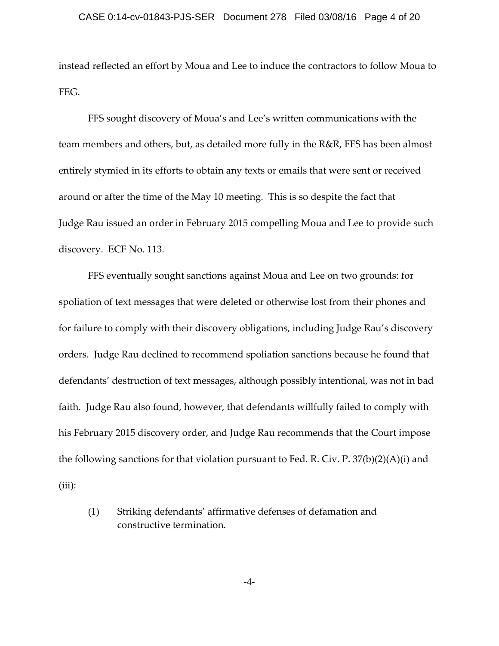instead reflected an effort by Moua and Lee to induce the contractors to follow Moua to FEG.

FFS sought discovery of Moua's and Lee's written communications with the team members and others, but, as detailed more fully in the R&R, FFS has been almost entirely stymied in its efforts to obtain any texts or emails that were sent or received around or after the time of the May 10 meeting. This is so despite the fact that Judge Rau issued an order in February 2015 compelling Moua and Lee to provide such discovery. ECF No. 113.

FFS eventually sought sanctions against Moua and Lee on two grounds: for spoliation of text messages that were deleted or otherwise lost from their phones and for failure to comply with their discovery obligations, including Judge Rau's discovery orders. Judge Rau declined to recommend spoliation sanctions because he found that defendants' destruction of text messages, although possibly intentional, was not in bad faith. Judge Rau also found, however, that defendants willfully failed to comply with his February 2015 discovery order, and Judge Rau recommends that the Court impose the following sanctions for that violation pursuant to Fed. R. Civ. P. 37(b)(2)(A)(i) and  $(iii)$ :

(1) Striking defendants' affirmative defenses of defamation and constructive termination.

-4-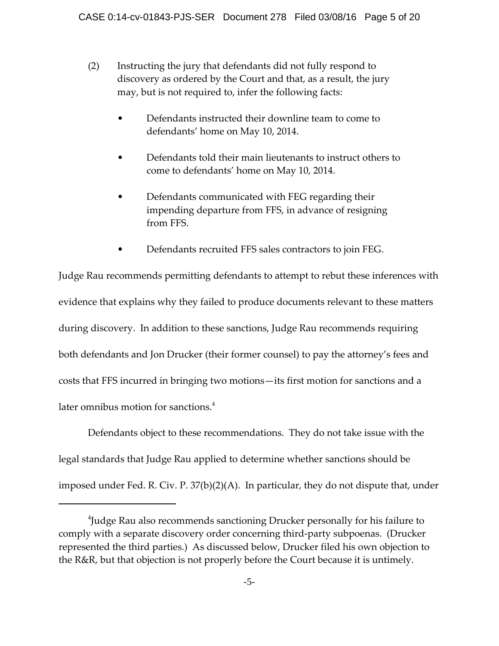- (2) Instructing the jury that defendants did not fully respond to discovery as ordered by the Court and that, as a result, the jury may, but is not required to, infer the following facts:
	- Defendants instructed their downline team to come to defendants' home on May 10, 2014.
	- Defendants told their main lieutenants to instruct others to come to defendants' home on May 10, 2014.
	- Defendants communicated with FEG regarding their impending departure from FFS, in advance of resigning from FFS.
	- Defendants recruited FFS sales contractors to join FEG.

Judge Rau recommends permitting defendants to attempt to rebut these inferences with evidence that explains why they failed to produce documents relevant to these matters during discovery. In addition to these sanctions, Judge Rau recommends requiring both defendants and Jon Drucker (their former counsel) to pay the attorney's fees and costs that FFS incurred in bringing two motions—its first motion for sanctions and a later omnibus motion for sanctions. $4$ 

Defendants object to these recommendations. They do not take issue with the legal standards that Judge Rau applied to determine whether sanctions should be imposed under Fed. R. Civ. P. 37(b)(2)(A). In particular, they do not dispute that, under

<sup>4</sup> Judge Rau also recommends sanctioning Drucker personally for his failure to comply with a separate discovery order concerning third‐party subpoenas. (Drucker represented the third parties.) As discussed below, Drucker filed his own objection to the R&R, but that objection is not properly before the Court because it is untimely.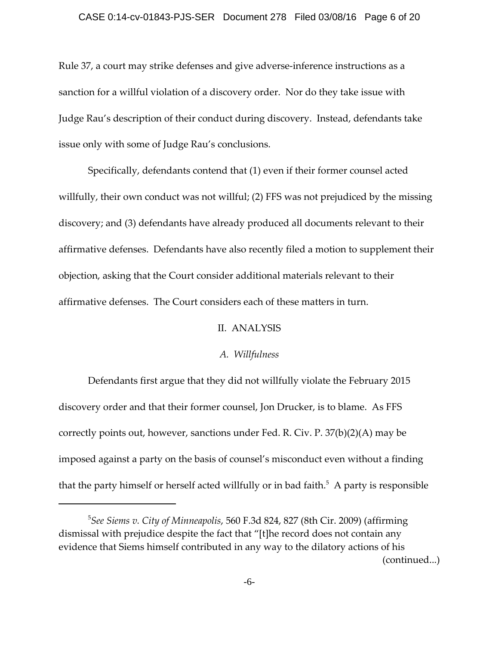### CASE 0:14-cv-01843-PJS-SER Document 278 Filed 03/08/16 Page 6 of 20

Rule 37, a court may strike defenses and give adverse-inference instructions as a sanction for a willful violation of a discovery order. Nor do they take issue with Judge Rau's description of their conduct during discovery. Instead, defendants take issue only with some of Judge Rau's conclusions.

Specifically, defendants contend that (1) even if their former counsel acted willfully, their own conduct was not willful; (2) FFS was not prejudiced by the missing discovery; and (3) defendants have already produced all documents relevant to their affirmative defenses. Defendants have also recently filed a motion to supplement their objection, asking that the Court consider additional materials relevant to their affirmative defenses. The Court considers each of these matters in turn.

## II. ANALYSIS

## *A. Willfulness*

Defendants first argue that they did not willfully violate the February 2015 discovery order and that their former counsel, Jon Drucker, is to blame. As FFS correctly points out, however, sanctions under Fed. R. Civ. P. 37(b)(2)(A) may be imposed against a party on the basis of counsel's misconduct even without a finding that the party himself or herself acted willfully or in bad faith. $^5$  A party is responsible

<sup>5</sup> *See Siems v. City of Minneapolis*, 560 F.3d 824, 827 (8th Cir. 2009) (affirming dismissal with prejudice despite the fact that "[t]he record does not contain any evidence that Siems himself contributed in any way to the dilatory actions of his (continued...)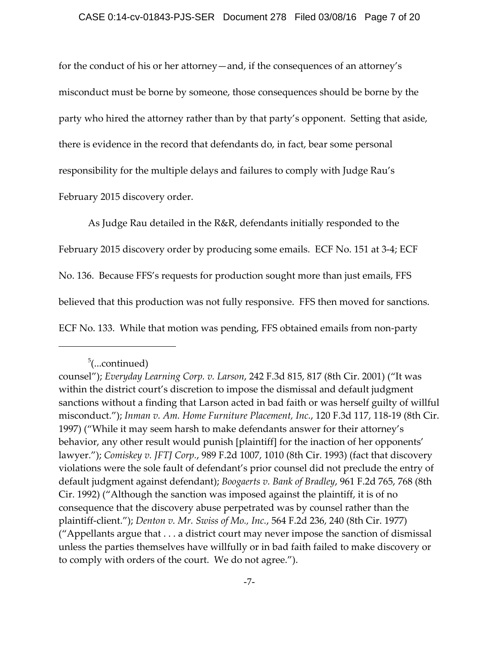for the conduct of his or her attorney—and, if the consequences of an attorney's misconduct must be borne by someone, those consequences should be borne by the party who hired the attorney rather than by that party's opponent. Setting that aside, there is evidence in the record that defendants do, in fact, bear some personal responsibility for the multiple delays and failures to comply with Judge Rau's February 2015 discovery order.

As Judge Rau detailed in the R&R, defendants initially responded to the February 2015 discovery order by producing some emails. ECF No. 151 at 3‐4; ECF No. 136. Because FFS's requests for production sought more than just emails, FFS believed that this production was not fully responsive. FFS then moved for sanctions. ECF No. 133. While that motion was pending, FFS obtained emails from non‐party

<sup>&</sup>lt;sup>5</sup>(...continued)

counsel"); *Everyday Learning Corp. v. Larson*, 242 F.3d 815, 817 (8th Cir. 2001) ("It was within the district court's discretion to impose the dismissal and default judgment sanctions without a finding that Larson acted in bad faith or was herself guilty of willful misconduct."); *Inman v. Am. Home Furniture Placement, Inc.*, 120 F.3d 117, 118‐19 (8th Cir. 1997) ("While it may seem harsh to make defendants answer for their attorney's behavior, any other result would punish [plaintiff] for the inaction of her opponents' lawyer."); *Comiskey v. JFTJ Corp.*, 989 F.2d 1007, 1010 (8th Cir. 1993) (fact that discovery violations were the sole fault of defendant's prior counsel did not preclude the entry of default judgment against defendant); *Boogaerts v. Bank of Bradley*, 961 F.2d 765, 768 (8th Cir. 1992) ("Although the sanction was imposed against the plaintiff, it is of no consequence that the discovery abuse perpetrated was by counsel rather than the plaintiff‐client."); *Denton v. Mr. Swiss of Mo., Inc.*, 564 F.2d 236, 240 (8th Cir. 1977) ("Appellants argue that . . . a district court may never impose the sanction of dismissal unless the parties themselves have willfully or in bad faith failed to make discovery or to comply with orders of the court. We do not agree.").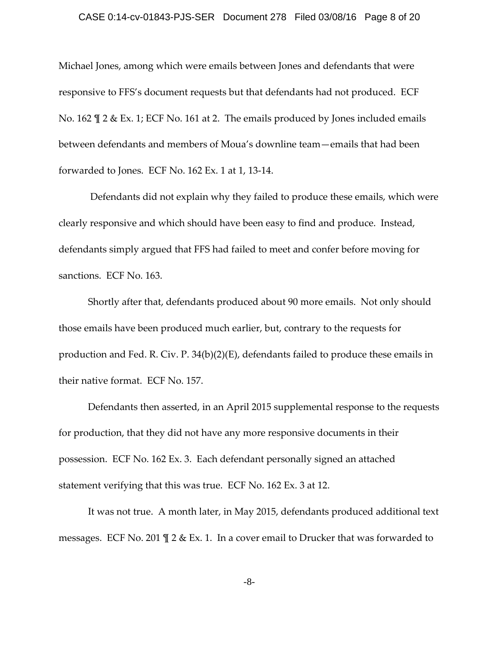#### CASE 0:14-cv-01843-PJS-SER Document 278 Filed 03/08/16 Page 8 of 20

Michael Jones, among which were emails between Jones and defendants that were responsive to FFS's document requests but that defendants had not produced. ECF No. 162 \leq 2 & Ex. 1; ECF No. 161 at 2. The emails produced by Jones included emails between defendants and members of Moua's downline team—emails that had been forwarded to Jones. ECF No. 162 Ex. 1 at 1, 13‐14.

Defendants did not explain why they failed to produce these emails, which were clearly responsive and which should have been easy to find and produce. Instead, defendants simply argued that FFS had failed to meet and confer before moving for sanctions. ECF No. 163.

Shortly after that, defendants produced about 90 more emails. Not only should those emails have been produced much earlier, but, contrary to the requests for production and Fed. R. Civ. P. 34(b)(2)(E), defendants failed to produce these emails in their native format. ECF No. 157.

Defendants then asserted, in an April 2015 supplemental response to the requests for production, that they did not have any more responsive documents in their possession. ECF No. 162 Ex. 3. Each defendant personally signed an attached statement verifying that this was true. ECF No. 162 Ex. 3 at 12.

It was not true. A month later, in May 2015, defendants produced additional text messages. ECF No. 201 ¶ 2 & Ex. 1. In a cover email to Drucker that was forwarded to

-8-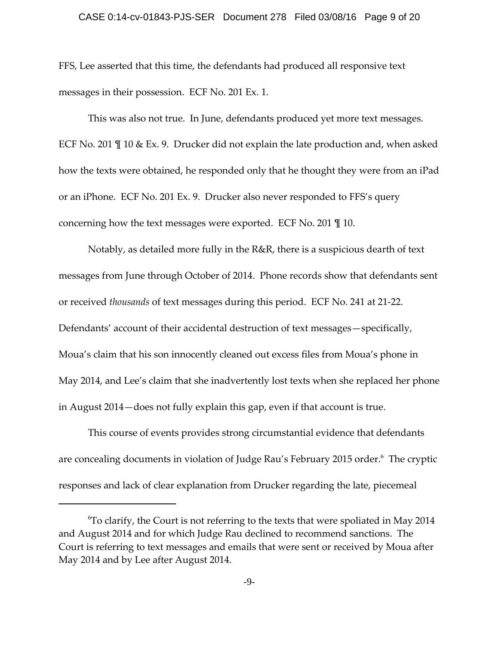### CASE 0:14-cv-01843-PJS-SER Document 278 Filed 03/08/16 Page 9 of 20

FFS, Lee asserted that this time, the defendants had produced all responsive text messages in their possession. ECF No. 201 Ex. 1.

This was also not true. In June, defendants produced yet more text messages. ECF No. 201 ¶ 10 & Ex. 9. Drucker did not explain the late production and, when asked how the texts were obtained, he responded only that he thought they were from an iPad or an iPhone. ECF No. 201 Ex. 9. Drucker also never responded to FFS's query concerning how the text messages were exported. ECF No. 201 ¶ 10.

Notably, as detailed more fully in the R&R, there is a suspicious dearth of text messages from June through October of 2014. Phone records show that defendants sent or received *thousands* of text messages during this period. ECF No. 241 at 21‐22. Defendants' account of their accidental destruction of text messages—specifically, Moua's claim that his son innocently cleaned out excess files from Moua's phone in May 2014, and Lee's claim that she inadvertently lost texts when she replaced her phone in August 2014—does not fully explain this gap, even if that account is true.

This course of events provides strong circumstantial evidence that defendants are concealing documents in violation of Judge Rau's February 2015 order.<sup>6</sup> The cryptic responses and lack of clear explanation from Drucker regarding the late, piecemeal

 $\mathrm{^6T}$ o clarify, the Court is not referring to the texts that were spoliated in May 2014 and August 2014 and for which Judge Rau declined to recommend sanctions. The Court is referring to text messages and emails that were sent or received by Moua after May 2014 and by Lee after August 2014.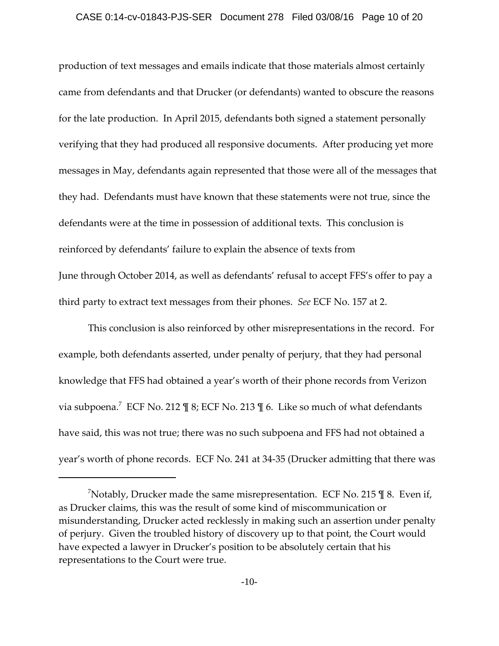### CASE 0:14-cv-01843-PJS-SER Document 278 Filed 03/08/16 Page 10 of 20

production of text messages and emails indicate that those materials almost certainly came from defendants and that Drucker (or defendants) wanted to obscure the reasons for the late production. In April 2015, defendants both signed a statement personally verifying that they had produced all responsive documents. After producing yet more messages in May, defendants again represented that those were all of the messages that they had. Defendants must have known that these statements were not true, since the defendants were at the time in possession of additional texts. This conclusion is reinforced by defendants' failure to explain the absence of texts from June through October 2014, as well as defendants' refusal to accept FFS's offer to pay a third party to extract text messages from their phones. *See* ECF No. 157 at 2.

This conclusion is also reinforced by other misrepresentations in the record. For example, both defendants asserted, under penalty of perjury, that they had personal knowledge that FFS had obtained a year's worth of their phone records from Verizon via subpoena.<sup>7</sup> ECF No. 212 ¶ 8; ECF No. 213 ¶ 6. Like so much of what defendants have said, this was not true; there was no such subpoena and FFS had not obtained a year's worth of phone records. ECF No. 241 at 34‐35 (Drucker admitting that there was

 $^7$ Notably, Drucker made the same misrepresentation. ECF No. 215  $\rm I\!I$  8. Even if, as Drucker claims, this was the result of some kind of miscommunication or misunderstanding, Drucker acted recklessly in making such an assertion under penalty of perjury. Given the troubled history of discovery up to that point, the Court would have expected a lawyer in Drucker's position to be absolutely certain that his representations to the Court were true.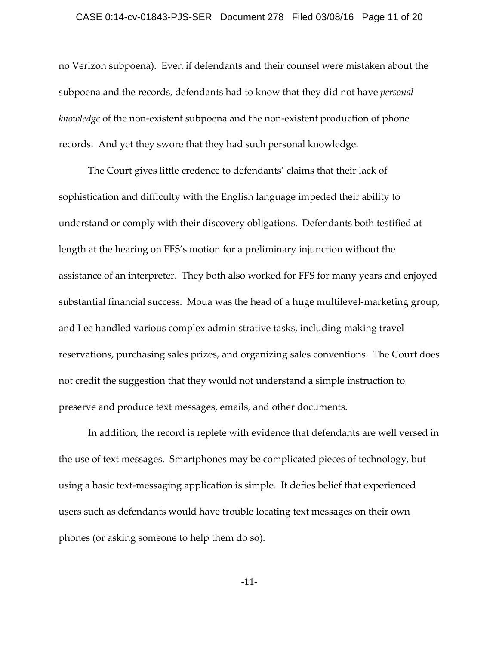#### CASE 0:14-cv-01843-PJS-SER Document 278 Filed 03/08/16 Page 11 of 20

no Verizon subpoena). Even if defendants and their counsel were mistaken about the subpoena and the records, defendants had to know that they did not have *personal knowledge* of the non‐existent subpoena and the non‐existent production of phone records. And yet they swore that they had such personal knowledge.

The Court gives little credence to defendants' claims that their lack of sophistication and difficulty with the English language impeded their ability to understand or comply with their discovery obligations. Defendants both testified at length at the hearing on FFS's motion for a preliminary injunction without the assistance of an interpreter. They both also worked for FFS for many years and enjoyed substantial financial success. Moua was the head of a huge multilevel-marketing group, and Lee handled various complex administrative tasks, including making travel reservations, purchasing sales prizes, and organizing sales conventions. The Court does not credit the suggestion that they would not understand a simple instruction to preserve and produce text messages, emails, and other documents.

In addition, the record is replete with evidence that defendants are well versed in the use of text messages. Smartphones may be complicated pieces of technology, but using a basic text‐messaging application is simple. It defies belief that experienced users such as defendants would have trouble locating text messages on their own phones (or asking someone to help them do so).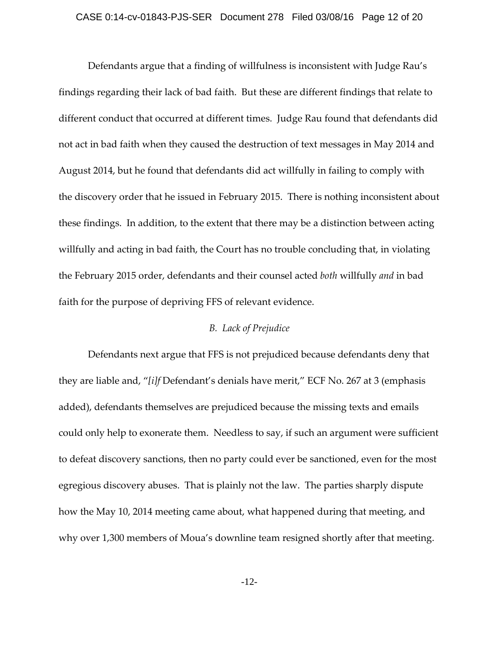Defendants argue that a finding of willfulness is inconsistent with Judge Rau's findings regarding their lack of bad faith. But these are different findings that relate to different conduct that occurred at different times. Judge Rau found that defendants did not act in bad faith when they caused the destruction of text messages in May 2014 and August 2014, but he found that defendants did act willfully in failing to comply with the discovery order that he issued in February 2015. There is nothing inconsistent about these findings. In addition, to the extent that there may be a distinction between acting willfully and acting in bad faith, the Court has no trouble concluding that, in violating the February 2015 order, defendants and their counsel acted *both* willfully *and* in bad faith for the purpose of depriving FFS of relevant evidence.

## *B. Lack of Prejudice*

Defendants next argue that FFS is not prejudiced because defendants deny that they are liable and, "*[i]f* Defendant's denials have merit," ECF No. 267 at 3 (emphasis added), defendants themselves are prejudiced because the missing texts and emails could only help to exonerate them. Needless to say, if such an argument were sufficient to defeat discovery sanctions, then no party could ever be sanctioned, even for the most egregious discovery abuses. That is plainly not the law. The parties sharply dispute how the May 10, 2014 meeting came about, what happened during that meeting, and why over 1,300 members of Moua's downline team resigned shortly after that meeting.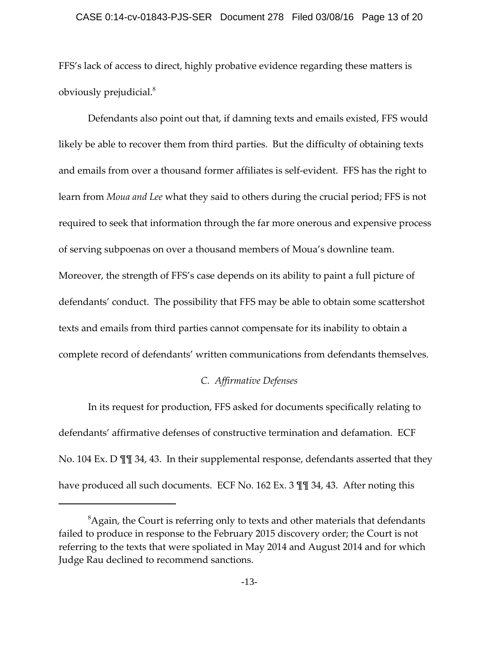### CASE 0:14-cv-01843-PJS-SER Document 278 Filed 03/08/16 Page 13 of 20

FFS's lack of access to direct, highly probative evidence regarding these matters is obviously prejudicial.<sup>8</sup>

Defendants also point out that, if damning texts and emails existed, FFS would likely be able to recover them from third parties. But the difficulty of obtaining texts and emails from over a thousand former affiliates is self‐evident. FFS has the right to learn from *Moua and Lee* what they said to others during the crucial period; FFS is not required to seek that information through the far more onerous and expensive process of serving subpoenas on over a thousand members of Moua's downline team. Moreover, the strength of FFS's case depends on its ability to paint a full picture of defendants' conduct. The possibility that FFS may be able to obtain some scattershot texts and emails from third parties cannot compensate for its inability to obtain a complete record of defendants' written communications from defendants themselves.

## *C. Affirmative Defenses*

In its request for production, FFS asked for documents specifically relating to defendants' affirmative defenses of constructive termination and defamation. ECF No. 104 Ex. D ¶¶ 34, 43. In their supplemental response, defendants asserted that they have produced all such documents. ECF No. 162 Ex. 3 \[\ink 10} 34, 43. After noting this

 ${}^{8}$ Again, the Court is referring only to texts and other materials that defendants failed to produce in response to the February 2015 discovery order; the Court is not referring to the texts that were spoliated in May 2014 and August 2014 and for which Judge Rau declined to recommend sanctions.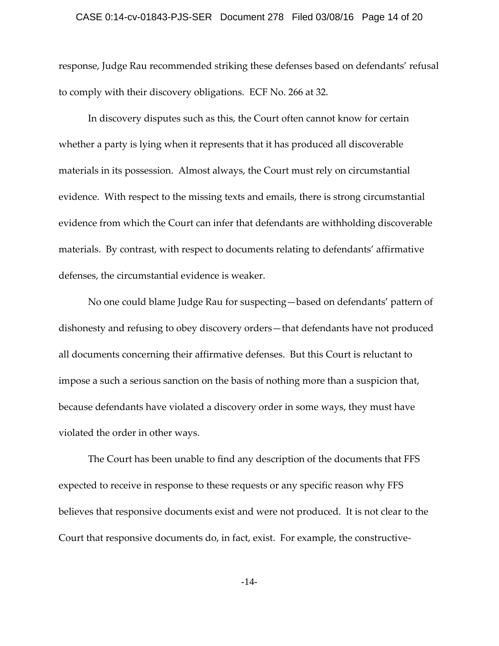## CASE 0:14-cv-01843-PJS-SER Document 278 Filed 03/08/16 Page 14 of 20

response, Judge Rau recommended striking these defenses based on defendants' refusal to comply with their discovery obligations. ECF No. 266 at 32.

In discovery disputes such as this, the Court often cannot know for certain whether a party is lying when it represents that it has produced all discoverable materials in its possession. Almost always, the Court must rely on circumstantial evidence. With respect to the missing texts and emails, there is strong circumstantial evidence from which the Court can infer that defendants are withholding discoverable materials. By contrast, with respect to documents relating to defendants' affirmative defenses, the circumstantial evidence is weaker.

No one could blame Judge Rau for suspecting—based on defendants' pattern of dishonesty and refusing to obey discovery orders—that defendants have not produced all documents concerning their affirmative defenses. But this Court is reluctant to impose a such a serious sanction on the basis of nothing more than a suspicion that, because defendants have violated a discovery order in some ways, they must have violated the order in other ways.

The Court has been unable to find any description of the documents that FFS expected to receive in response to these requests or any specific reason why FFS believes that responsive documents exist and were not produced. It is not clear to the Court that responsive documents do, in fact, exist. For example, the constructive‐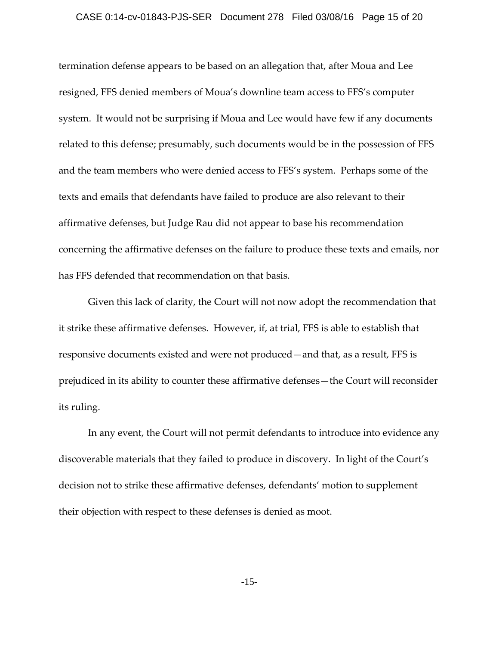## CASE 0:14-cv-01843-PJS-SER Document 278 Filed 03/08/16 Page 15 of 20

termination defense appears to be based on an allegation that, after Moua and Lee resigned, FFS denied members of Moua's downline team access to FFS's computer system. It would not be surprising if Moua and Lee would have few if any documents related to this defense; presumably, such documents would be in the possession of FFS and the team members who were denied access to FFS's system. Perhaps some of the texts and emails that defendants have failed to produce are also relevant to their affirmative defenses, but Judge Rau did not appear to base his recommendation concerning the affirmative defenses on the failure to produce these texts and emails, nor has FFS defended that recommendation on that basis.

Given this lack of clarity, the Court will not now adopt the recommendation that it strike these affirmative defenses. However, if, at trial, FFS is able to establish that responsive documents existed and were not produced—and that, as a result, FFS is prejudiced in its ability to counter these affirmative defenses—the Court will reconsider its ruling.

In any event, the Court will not permit defendants to introduce into evidence any discoverable materials that they failed to produce in discovery. In light of the Court's decision not to strike these affirmative defenses, defendants' motion to supplement their objection with respect to these defenses is denied as moot.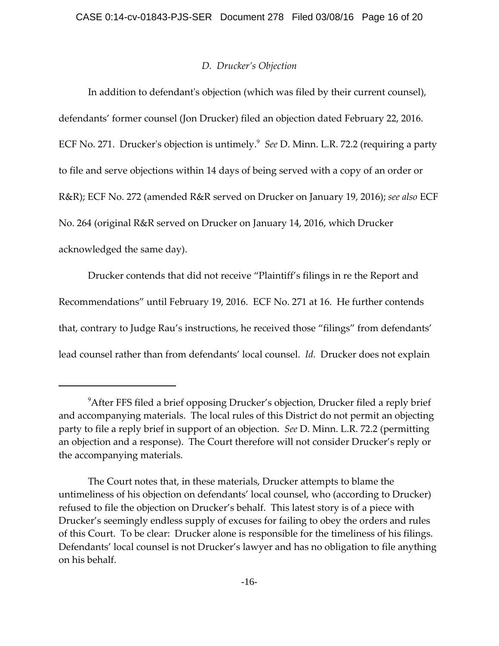## *D. Drucker's Objection*

In addition to defendantʹs objection (which was filed by their current counsel), defendants' former counsel (Jon Drucker) filed an objection dated February 22, 2016. ECF No. 271. Druckerʹs objection is untimely.<sup>9</sup> *See* D. Minn. L.R. 72.2 (requiring a party to file and serve objections within 14 days of being served with a copy of an order or R&R); ECF No. 272 (amended R&R served on Drucker on January 19, 2016); *see also* ECF No. 264 (original R&R served on Drucker on January 14, 2016, which Drucker acknowledged the same day).

Drucker contends that did not receive "Plaintiff's filings in re the Report and Recommendations" until February 19, 2016. ECF No. 271 at 16. He further contends that, contrary to Judge Rau's instructions, he received those "filings" from defendants' lead counsel rather than from defendants' local counsel. *Id.* Drucker does not explain

 $^9$ After FFS filed a brief opposing Drucker's objection, Drucker filed a reply brief and accompanying materials. The local rules of this District do not permit an objecting party to file a reply brief in support of an objection. *See* D. Minn. L.R. 72.2 (permitting an objection and a response). The Court therefore will not consider Drucker's reply or the accompanying materials.

The Court notes that, in these materials, Drucker attempts to blame the untimeliness of his objection on defendants' local counsel, who (according to Drucker) refused to file the objection on Drucker's behalf. This latest story is of a piece with Drucker's seemingly endless supply of excuses for failing to obey the orders and rules of this Court. To be clear: Drucker alone is responsible for the timeliness of his filings. Defendants' local counsel is not Drucker's lawyer and has no obligation to file anything on his behalf.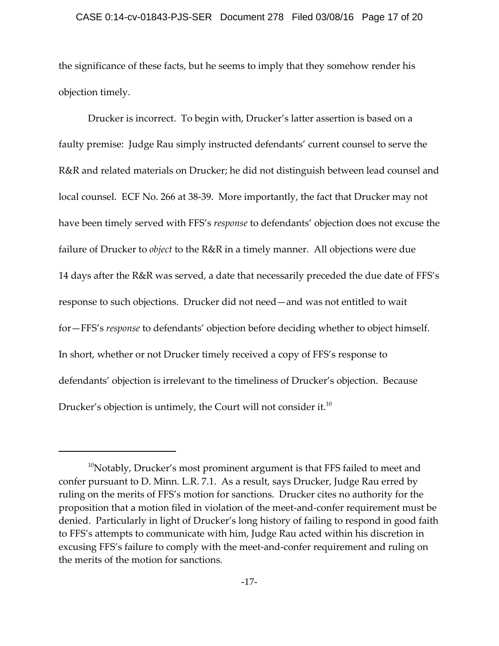### CASE 0:14-cv-01843-PJS-SER Document 278 Filed 03/08/16 Page 17 of 20

the significance of these facts, but he seems to imply that they somehow render his objection timely.

Drucker is incorrect. To begin with, Drucker's latter assertion is based on a faulty premise: Judge Rau simply instructed defendants' current counsel to serve the R&R and related materials on Drucker; he did not distinguish between lead counsel and local counsel. ECF No. 266 at 38‐39. More importantly, the fact that Drucker may not have been timely served with FFS's *response* to defendants' objection does not excuse the failure of Drucker to *object* to the R&R in a timely manner. All objections were due 14 days after the R&R was served, a date that necessarily preceded the due date of FFS's response to such objections. Drucker did not need—and was not entitled to wait for—FFS's *response* to defendants' objection before deciding whether to object himself. In short, whether or not Drucker timely received a copy of FFS's response to defendants' objection is irrelevant to the timeliness of Drucker's objection. Because Drucker's objection is untimely, the Court will not consider it.<sup>10</sup>

 $10$ Notably, Drucker's most prominent argument is that FFS failed to meet and confer pursuant to D. Minn. L.R. 7.1. As a result, says Drucker, Judge Rau erred by ruling on the merits of FFS's motion for sanctions. Drucker cites no authority for the proposition that a motion filed in violation of the meet‐and‐confer requirement must be denied. Particularly in light of Drucker's long history of failing to respond in good faith to FFS's attempts to communicate with him, Judge Rau acted within his discretion in excusing FFS's failure to comply with the meet‐and‐confer requirement and ruling on the merits of the motion for sanctions.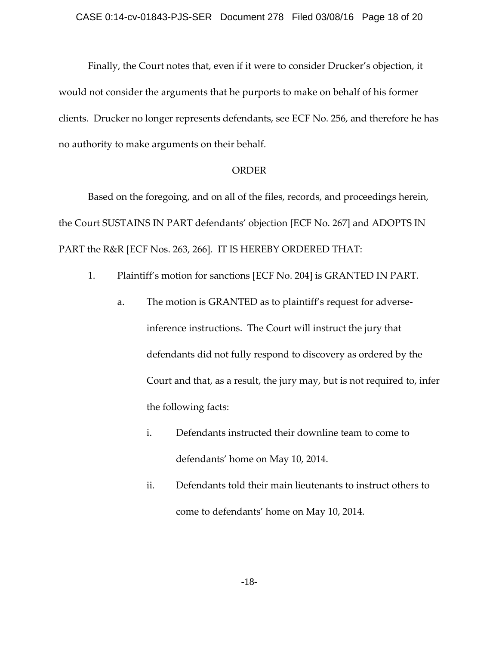Finally, the Court notes that, even if it were to consider Drucker's objection, it would not consider the arguments that he purports to make on behalf of his former clients. Drucker no longer represents defendants, see ECF No. 256, and therefore he has no authority to make arguments on their behalf.

## ORDER

Based on the foregoing, and on all of the files, records, and proceedings herein, the Court SUSTAINS IN PART defendants' objection [ECF No. 267] and ADOPTS IN PART the R&R [ECF Nos. 263, 266]. IT IS HEREBY ORDERED THAT:

- 1. Plaintiff's motion for sanctions [ECF No. 204] is GRANTED IN PART.
	- a. The motion is GRANTED as to plaintiff's request for adverse‐ inference instructions. The Court will instruct the jury that defendants did not fully respond to discovery as ordered by the Court and that, as a result, the jury may, but is not required to, infer the following facts:
		- i. Defendants instructed their downline team to come to defendants' home on May 10, 2014.
		- ii. Defendants told their main lieutenants to instruct others to come to defendants' home on May 10, 2014.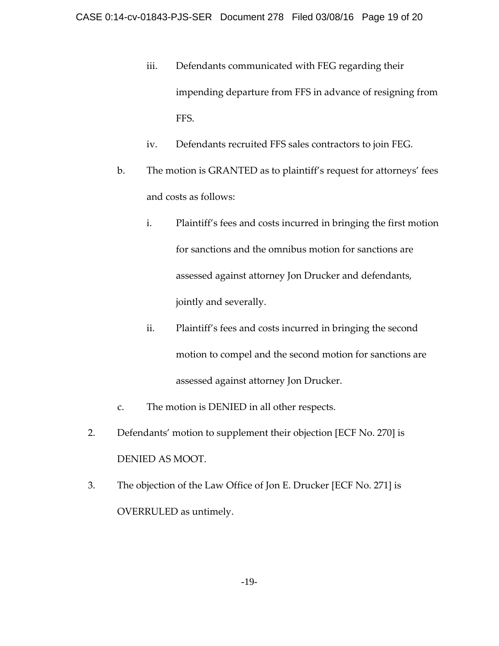- iii. Defendants communicated with FEG regarding their impending departure from FFS in advance of resigning from FFS.
- iv. Defendants recruited FFS sales contractors to join FEG.
- b. The motion is GRANTED as to plaintiff's request for attorneys' fees and costs as follows:
	- i. Plaintiff's fees and costs incurred in bringing the first motion for sanctions and the omnibus motion for sanctions are assessed against attorney Jon Drucker and defendants, jointly and severally.
	- ii. Plaintiff's fees and costs incurred in bringing the second motion to compel and the second motion for sanctions are assessed against attorney Jon Drucker.
- c. The motion is DENIED in all other respects.
- 2. Defendants' motion to supplement their objection [ECF No. 270] is DENIED AS MOOT.
- 3. The objection of the Law Office of Jon E. Drucker [ECF No. 271] is OVERRULED as untimely.